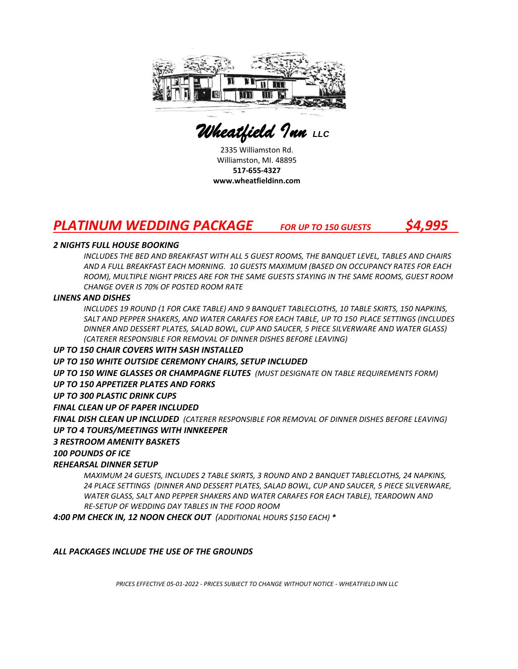

 *Wheatfield Inn LLC* 

2335 Williamston Rd. Williamston, MI. 48895 **517-655-4327 www.wheatfieldinn.com**

## *PLATINUM WEDDING PACKAGE FOR UP TO 150 GUESTS \$4,995*

#### *2 NIGHTS FULL HOUSE BOOKING*

INCLUDES THE BED AND BREAKFAST WITH ALL 5 GUEST ROOMS, THE BANQUET LEVEL, TABLES AND CHAIRS *AND A FULL BREAKFAST EACH MORNING. 10 GUESTS MAXIMUM (BASED ON OCCUPANCY RATES FOR EACH ROOM), MULTIPLE NIGHT PRICES ARE FOR THE SAME GUESTS STAYING IN THE SAME ROOMS, GUEST ROOM CHANGE OVER IS 70% OF POSTED ROOM RATE* 

#### *LINENS AND DISHES*

*INCLUDES 19 ROUND (1 FOR CAKE TABLE) AND 9 BANQUET TABLECLOTHS, 10 TABLE SKIRTS, 150 NAPKINS, SALT AND PEPPER SHAKERS, AND WATER CARAFES FOR EACH TABLE, UP TO 150 PLACE SETTINGS (INCLUDES DINNER AND DESSERT PLATES, SALAD BOWL, CUP AND SAUCER, 5 PIECE SILVERWARE AND WATER GLASS) (CATERER RESPONSIBLE FOR REMOVAL OF DINNER DISHES BEFORE LEAVING)*

#### *UP TO 150 CHAIR COVERS WITH SASH INSTALLED*

#### *UP TO 150 WHITE OUTSIDE CEREMONY CHAIRS, SETUP INCLUDED*

*UP TO 150 WINE GLASSES OR CHAMPAGNE FLUTES (MUST DESIGNATE ON TABLE REQUIREMENTS FORM)*

#### *UP TO 150 APPETIZER PLATES AND FORKS*

#### *UP TO 300 PLASTIC DRINK CUPS*

#### *FINAL CLEAN UP OF PAPER INCLUDED*

*FINAL DISH CLEAN UP INCLUDED (CATERER RESPONSIBLE FOR REMOVAL OF DINNER DISHES BEFORE LEAVING)*

#### *UP TO 4 TOURS/MEETINGS WITH INNKEEPER*

#### *3 RESTROOM AMENITY BASKETS*

#### *100 POUNDS OF ICE*

#### *REHEARSAL DINNER SETUP*

*MAXIMUM 24 GUESTS, INCLUDES 2 TABLE SKIRTS, 3 ROUND AND 2 BANQUET TABLECLOTHS, 24 NAPKINS, 24 PLACE SETTINGS (DINNER AND DESSERT PLATES, SALAD BOWL, CUP AND SAUCER, 5 PIECE SILVERWARE, WATER GLASS, SALT AND PEPPER SHAKERS AND WATER CARAFES FOR EACH TABLE), TEARDOWN AND RE-SETUP OF WEDDING DAY TABLES IN THE FOOD ROOM*

*4:00 PM CHECK IN, 12 NOON CHECK OUT (ADDITIONAL HOURS \$150 EACH) \**

#### *ALL PACKAGES INCLUDE THE USE OF THE GROUNDS*

*PRICES EFFECTIVE 05-01-2022 - PRICES SUBJECT TO CHANGE WITHOUT NOTICE - WHEATFIELD INN LLC*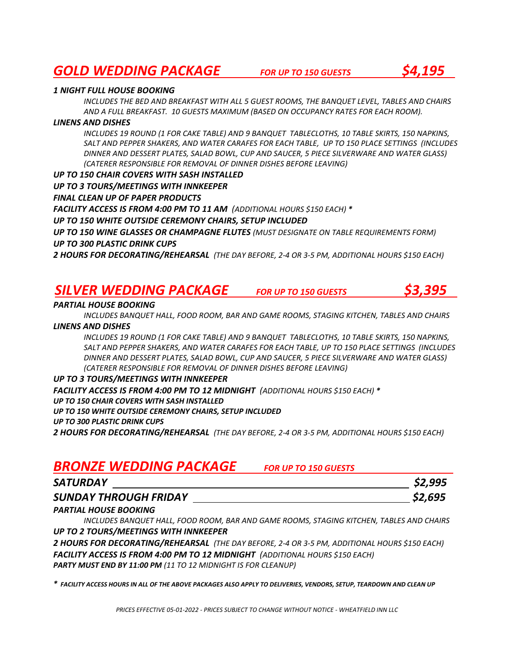# *GOLD WEDDING PACKAGE FOR UP TO 150 GUESTS \$4,195*

#### *1 NIGHT FULL HOUSE BOOKING*

*INCLUDES THE BED AND BREAKFAST WITH ALL 5 GUEST ROOMS, THE BANQUET LEVEL, TABLES AND CHAIRS AND A FULL BREAKFAST. 10 GUESTS MAXIMUM (BASED ON OCCUPANCY RATES FOR EACH ROOM).*

#### *LINENS AND DISHES*

*INCLUDES 19 ROUND (1 FOR CAKE TABLE) AND 9 BANQUET TABLECLOTHS, 10 TABLE SKIRTS, 150 NAPKINS, SALT AND PEPPER SHAKERS, AND WATER CARAFES FOR EACH TABLE, UP TO 150 PLACE SETTINGS (INCLUDES DINNER AND DESSERT PLATES, SALAD BOWL, CUP AND SAUCER, 5 PIECE SILVERWARE AND WATER GLASS) (CATERER RESPONSIBLE FOR REMOVAL OF DINNER DISHES BEFORE LEAVING)*

*UP TO 150 CHAIR COVERS WITH SASH INSTALLED UP TO 3 TOURS/MEETINGS WITH INNKEEPER FINAL CLEAN UP OF PAPER PRODUCTS FACILITY ACCESS IS FROM 4:00 PM TO 11 AM (ADDITIONAL HOURS \$150 EACH) \* UP TO 150 WHITE OUTSIDE CEREMONY CHAIRS, SETUP INCLUDED UP TO 150 WINE GLASSES OR CHAMPAGNE FLUTES (MUST DESIGNATE ON TABLE REQUIREMENTS FORM) UP TO 300 PLASTIC DRINK CUPS*

*2 HOURS FOR DECORATING/REHEARSAL (THE DAY BEFORE, 2-4 OR 3-5 PM, ADDITIONAL HOURS \$150 EACH)*

### *SILVER WEDDING PACKAGE FOR UP TO 150 GUESTS \$3,395*



#### *PARTIAL HOUSE BOOKING*

*INCLUDES BANQUET HALL, FOOD ROOM, BAR AND GAME ROOMS, STAGING KITCHEN, TABLES AND CHAIRS LINENS AND DISHES*

*INCLUDES 19 ROUND (1 FOR CAKE TABLE) AND 9 BANQUET TABLECLOTHS, 10 TABLE SKIRTS, 150 NAPKINS, SALT AND PEPPER SHAKERS, AND WATER CARAFES FOR EACH TABLE, UP TO 150 PLACE SETTINGS (INCLUDES DINNER AND DESSERT PLATES, SALAD BOWL, CUP AND SAUCER, 5 PIECE SILVERWARE AND WATER GLASS) (CATERER RESPONSIBLE FOR REMOVAL OF DINNER DISHES BEFORE LEAVING)*

#### *UP TO 3 TOURS/MEETINGS WITH INNKEEPER*

*FACILITY ACCESS IS FROM 4:00 PM TO 12 MIDNIGHT (ADDITIONAL HOURS \$150 EACH) \**

*UP TO 150 CHAIR COVERS WITH SASH INSTALLED*

*UP TO 150 WHITE OUTSIDE CEREMONY CHAIRS, SETUP INCLUDED*

*UP TO 300 PLASTIC DRINK CUPS*

*2 HOURS FOR DECORATING/REHEARSAL (THE DAY BEFORE, 2-4 OR 3-5 PM, ADDITIONAL HOURS \$150 EACH)*

## *BRONZE WEDDING PACKAGE FOR UP TO 150 GUESTS*

| <b>SATURDAY</b>              | \$2,995 |
|------------------------------|---------|
| <b>SUNDAY THROUGH FRIDAY</b> | \$2,695 |

#### *PARTIAL HOUSE BOOKING*

*INCLUDES BANQUET HALL, FOOD ROOM, BAR AND GAME ROOMS, STAGING KITCHEN, TABLES AND CHAIRS UP TO 2 TOURS/MEETINGS WITH INNKEEPER*

*2 HOURS FOR DECORATING/REHEARSAL (THE DAY BEFORE, 2-4 OR 3-5 PM, ADDITIONAL HOURS \$150 EACH) FACILITY ACCESS IS FROM 4:00 PM TO 12 MIDNIGHT (ADDITIONAL HOURS \$150 EACH) PARTY MUST END BY 11:00 PM (11 TO 12 MIDNIGHT IS FOR CLEANUP)*

*\* FACILITY ACCESS HOURS IN ALL OF THE ABOVE PACKAGES ALSO APPLY TO DELIVERIES, VENDORS, SETUP, TEARDOWN AND CLEAN UP*